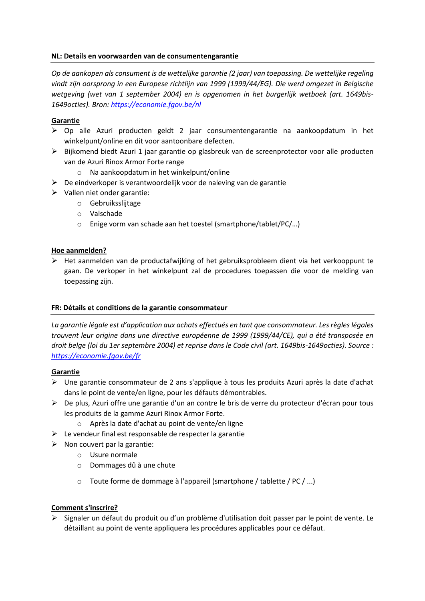## **NL: Details en voorwaarden van de consumentengarantie**

*Op de aankopen als consument is de wettelijke garantie (2 jaar) van toepassing. De wettelijke regeling vindt zijn oorsprong in een Europese richtlijn van 1999 (1999/44/EG). Die werd omgezet in Belgische wetgeving (wet van 1 september 2004) en is opgenomen in het burgerlijk wetboek (art. 1649bis-1649octies). Bron: [https://economie.fgov.be/](https://economie.fgov.be/nl)nl*

## **Garantie**

- $\triangleright$  Op alle Azuri producten geldt 2 jaar consumentengarantie na aankoopdatum in het winkelpunt/online en dit voor aantoonbare defecten.
- ➢ Bijkomend biedt Azuri 1 jaar garantie op glasbreuk van de screenprotector voor alle producten van de Azuri Rinox Armor Forte range
	- o Na aankoopdatum in het winkelpunt/online
- $\triangleright$  De eindverkoper is verantwoordelijk voor de naleving van de garantie
- ➢ Vallen niet onder garantie:
	- o Gebruiksslijtage
	- o Valschade
	- o Enige vorm van schade aan het toestel (smartphone/tablet/PC/…)

## **Hoe aanmelden?**

➢ Het aanmelden van de productafwijking of het gebruiksprobleem dient via het verkooppunt te gaan. De verkoper in het winkelpunt zal de procedures toepassen die voor de melding van toepassing zijn.

### **FR: Détails et conditions de la garantie consommateur**

La garantie légale est d'application aux achats effectués en tant que consommateur. Les règles légales *trouvent leur origine dans une directive européenne de 1999 (1999/44/CE), qui a été transposée en droit belge (loi du 1er septembre 2004) et reprise dans le Code civil (art. 1649bis-1649octies). Source : <https://economie.fgov.be/fr>*

### **Garantie**

- ➢ Une garantie consommateur de 2 ans s'applique à tous les produits Azuri après la date d'achat dans le point de vente/en ligne, pour les défauts démontrables.
- ➢ De plus, Azuri offre une garantie d'un an contre le bris de verre du protecteur d'écran pour tous les produits de la gamme Azuri Rinox Armor Forte.
	- o Après la date d'achat au point de vente/en ligne
- $\triangleright$  Le vendeur final est responsable de respecter la garantie
- $\triangleright$  Non couvert par la garantie:
	- o Usure normale
	- o Dommages dû à une chute
	- o Toute forme de dommage à l'appareil (smartphone / tablette / PC / ...)

# **Comment s'inscrire?**

➢ Signaler un défaut du produit ou d'un problème d'utilisation doit passer par le point de vente. Le détaillant au point de vente appliquera les procédures applicables pour ce défaut.